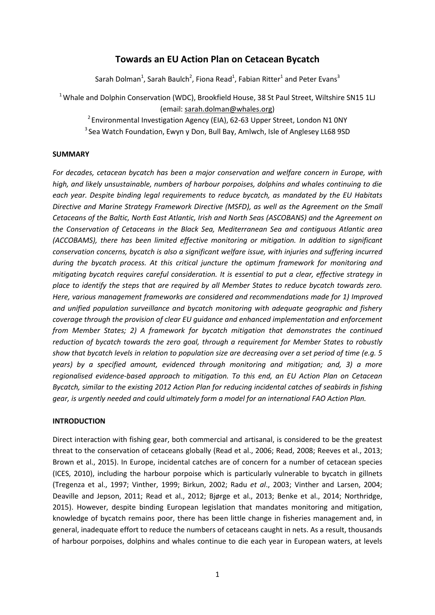# **Towards an EU Action Plan on Cetacean Bycatch**

Sarah Dolman<sup>1</sup>, Sarah Baulch<sup>2</sup>, Fiona Read<sup>1</sup>, Fabian Ritter<sup>1</sup> and Peter Evans<sup>3</sup>

 $1$ Whale and Dolphin Conservation (WDC), Brookfield House, 38 St Paul Street, Wiltshire SN15 1LJ (email: sarah.dolman@whales.org)

<sup>2</sup> Environmental Investigation Agency (EIA), 62-63 Upper Street, London N1 0NY <sup>3</sup> Sea Watch Foundation, Ewyn y Don, Bull Bay, Amlwch, Isle of Anglesey LL68 9SD

### **SUMMARY**

*For decades, cetacean bycatch has been a major conservation and welfare concern in Europe, with high, and likely unsustainable, numbers of harbour porpoises, dolphins and whales continuing to die each year. Despite binding legal requirements to reduce bycatch, as mandated by the EU Habitats Directive and Marine Strategy Framework Directive (MSFD), as well as the Agreement on the Small Cetaceans of the Baltic, North East Atlantic, Irish and North Seas (ASCOBANS) and the Agreement on the Conservation of Cetaceans in the Black Sea, Mediterranean Sea and contiguous Atlantic area (ACCOBAMS), there has been limited effective monitoring or mitigation. In addition to significant conservation concerns, bycatch is also a significant welfare issue, with injuries and suffering incurred during the bycatch process. At this critical juncture the optimum framework for monitoring and mitigating bycatch requires careful consideration. It is essential to put a clear, effective strategy in place to identify the steps that are required by all Member States to reduce bycatch towards zero. Here, various management frameworks are considered and recommendations made for 1) Improved and unified population surveillance and bycatch monitoring with adequate geographic and fishery coverage through the provision of clear EU guidance and enhanced implementation and enforcement from Member States; 2) A framework for bycatch mitigation that demonstrates the continued reduction of bycatch towards the zero goal, through a requirement for Member States to robustly show that bycatch levels in relation to population size are decreasing over a set period of time (e.g. 5 years) by a specified amount, evidenced through monitoring and mitigation; and, 3) a more regionalised evidence-based approach to mitigation. To this end, an EU Action Plan on Cetacean Bycatch, similar to the existing 2012 Action Plan for reducing incidental catches of seabirds in fishing gear, is urgently needed and could ultimately form a model for an international FAO Action Plan.* 

### **INTRODUCTION**

Direct interaction with fishing gear, both commercial and artisanal, is considered to be the greatest threat to the conservation of cetaceans globally (Read et al., 2006; Read, 2008; Reeves et al., 2013; Brown et al., 2015). In Europe, incidental catches are of concern for a number of cetacean species (ICES, 2010), including the harbour porpoise which is particularly vulnerable to bycatch in gillnets (Tregenza et al., 1997; Vinther, 1999; Birkun, 2002; Radu *et al*., 2003; Vinther and Larsen, 2004; Deaville and Jepson, 2011; Read et al., 2012; Bjørge et al., 2013; Benke et al., 2014; Northridge, 2015). However, despite binding European legislation that mandates monitoring and mitigation, knowledge of bycatch remains poor, there has been little change in fisheries management and, in general, inadequate effort to reduce the numbers of cetaceans caught in nets. As a result, thousands of harbour porpoises, dolphins and whales continue to die each year in European waters, at levels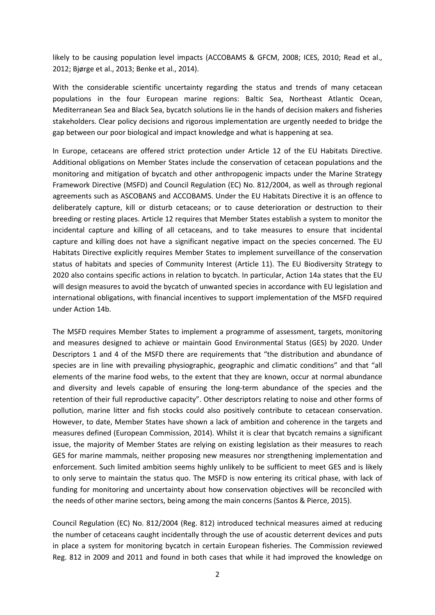likely to be causing population level impacts (ACCOBAMS & GFCM, 2008; ICES, 2010; Read et al., 2012; Bjørge et al., 2013; Benke et al., 2014).

With the considerable scientific uncertainty regarding the status and trends of many cetacean populations in the four European marine regions: Baltic Sea, Northeast Atlantic Ocean, Mediterranean Sea and Black Sea, bycatch solutions lie in the hands of decision makers and fisheries stakeholders. Clear policy decisions and rigorous implementation are urgently needed to bridge the gap between our poor biological and impact knowledge and what is happening at sea.

In Europe, cetaceans are offered strict protection under Article 12 of the EU Habitats Directive. Additional obligations on Member States include the conservation of cetacean populations and the monitoring and mitigation of bycatch and other anthropogenic impacts under the Marine Strategy Framework Directive (MSFD) and Council Regulation (EC) No. 812/2004, as well as through regional agreements such as ASCOBANS and ACCOBAMS. Under the EU Habitats Directive it is an offence to deliberately capture, kill or disturb cetaceans; or to cause deterioration or destruction to their breeding or resting places. Article 12 requires that Member States establish a system to monitor the incidental capture and killing of all cetaceans, and to take measures to ensure that incidental capture and killing does not have a significant negative impact on the species concerned. The EU Habitats Directive explicitly requires Member States to implement surveillance of the conservation status of habitats and species of Community Interest (Article 11). The EU Biodiversity Strategy to 2020 also contains specific actions in relation to bycatch. In particular, Action 14a states that the EU will design measures to avoid the bycatch of unwanted species in accordance with EU legislation and international obligations, with financial incentives to support implementation of the MSFD required under Action 14b.

The MSFD requires Member States to implement a programme of assessment, targets, monitoring and measures designed to achieve or maintain Good Environmental Status (GES) by 2020. Under Descriptors 1 and 4 of the MSFD there are requirements that "the distribution and abundance of species are in line with prevailing physiographic, geographic and climatic conditions" and that "all elements of the marine food webs, to the extent that they are known, occur at normal abundance and diversity and levels capable of ensuring the long-term abundance of the species and the retention of their full reproductive capacity". Other descriptors relating to noise and other forms of pollution, marine litter and fish stocks could also positively contribute to cetacean conservation. However, to date, Member States have shown a lack of ambition and coherence in the targets and measures defined (European Commission, 2014). Whilst it is clear that bycatch remains a significant issue, the majority of Member States are relying on existing legislation as their measures to reach GES for marine mammals, neither proposing new measures nor strengthening implementation and enforcement. Such limited ambition seems highly unlikely to be sufficient to meet GES and is likely to only serve to maintain the status quo. The MSFD is now entering its critical phase, with lack of funding for monitoring and uncertainty about how conservation objectives will be reconciled with the needs of other marine sectors, being among the main concerns (Santos & Pierce, 2015).

Council Regulation (EC) No. 812/2004 (Reg. 812) introduced technical measures aimed at reducing the number of cetaceans caught incidentally through the use of acoustic deterrent devices and puts in place a system for monitoring bycatch in certain European fisheries. The Commission reviewed Reg. 812 in 2009 and 2011 and found in both cases that while it had improved the knowledge on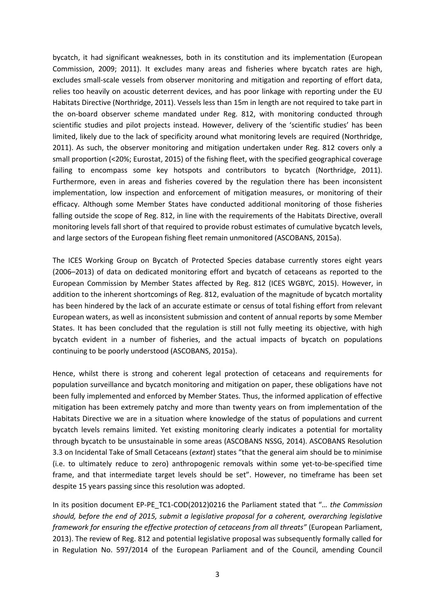bycatch, it had significant weaknesses, both in its constitution and its implementation (European Commission, 2009; 2011). It excludes many areas and fisheries where bycatch rates are high, excludes small-scale vessels from observer monitoring and mitigation and reporting of effort data, relies too heavily on acoustic deterrent devices, and has poor linkage with reporting under the EU Habitats Directive (Northridge, 2011). Vessels less than 15m in length are not required to take part in the on-board observer scheme mandated under Reg. 812, with monitoring conducted through scientific studies and pilot projects instead. However, delivery of the 'scientific studies' has been limited, likely due to the lack of specificity around what monitoring levels are required (Northridge, 2011). As such, the observer monitoring and mitigation undertaken under Reg. 812 covers only a small proportion (<20%; Eurostat, 2015) of the fishing fleet, with the specified geographical coverage failing to encompass some key hotspots and contributors to bycatch (Northridge, 2011). Furthermore, even in areas and fisheries covered by the regulation there has been inconsistent implementation, low inspection and enforcement of mitigation measures, or monitoring of their efficacy. Although some Member States have conducted additional monitoring of those fisheries falling outside the scope of Reg. 812, in line with the requirements of the Habitats Directive, overall monitoring levels fall short of that required to provide robust estimates of cumulative bycatch levels, and large sectors of the European fishing fleet remain unmonitored (ASCOBANS, 2015a).

The ICES Working Group on Bycatch of Protected Species database currently stores eight years (2006–2013) of data on dedicated monitoring effort and bycatch of cetaceans as reported to the European Commission by Member States affected by Reg. 812 (ICES WGBYC, 2015). However, in addition to the inherent shortcomings of Reg. 812, evaluation of the magnitude of bycatch mortality has been hindered by the lack of an accurate estimate or census of total fishing effort from relevant European waters, as well as inconsistent submission and content of annual reports by some Member States. It has been concluded that the regulation is still not fully meeting its objective, with high bycatch evident in a number of fisheries, and the actual impacts of bycatch on populations continuing to be poorly understood (ASCOBANS, 2015a).

Hence, whilst there is strong and coherent legal protection of cetaceans and requirements for population surveillance and bycatch monitoring and mitigation on paper, these obligations have not been fully implemented and enforced by Member States. Thus, the informed application of effective mitigation has been extremely patchy and more than twenty years on from implementation of the Habitats Directive we are in a situation where knowledge of the status of populations and current bycatch levels remains limited. Yet existing monitoring clearly indicates a potential for mortality through bycatch to be unsustainable in some areas (ASCOBANS NSSG, 2014). ASCOBANS Resolution 3.3 on Incidental Take of Small Cetaceans (*extant*) states "that the general aim should be to minimise (i.e. to ultimately reduce to zero) anthropogenic removals within some yet-to-be-specified time frame, and that intermediate target levels should be set". However, no timeframe has been set despite 15 years passing since this resolution was adopted.

In its position document EP-PE\_TC1-COD(2012)0216 the Parliament stated that "*… the Commission should, before the end of 2015, submit a legislative proposal for a coherent, overarching legislative framework for ensuring the effective protection of cetaceans from all threats"* (European Parliament, 2013). The review of Reg. 812 and potential legislative proposal was subsequently formally called for in Regulation No. 597/2014 of the European Parliament and of the Council, amending Council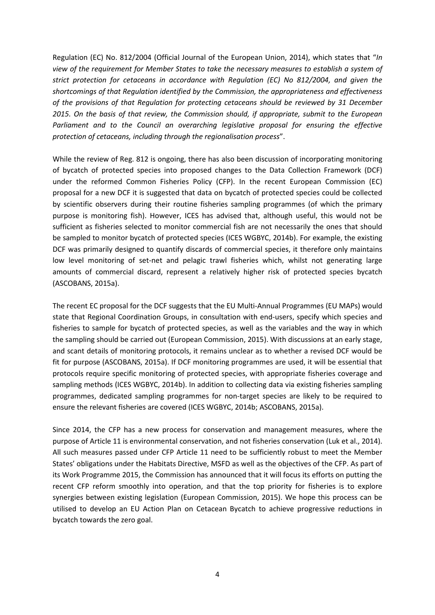Regulation (EC) No. 812/2004 (Official Journal of the European Union, 2014), which states that "*In view of the requirement for Member States to take the necessary measures to establish a system of strict protection for cetaceans in accordance with Regulation (EC) No 812/2004, and given the shortcomings of that Regulation identified by the Commission, the appropriateness and effectiveness of the provisions of that Regulation for protecting cetaceans should be reviewed by 31 December 2015. On the basis of that review, the Commission should, if appropriate, submit to the European Parliament and to the Council an overarching legislative proposal for ensuring the effective protection of cetaceans, including through the regionalisation process*".

While the review of Reg. 812 is ongoing, there has also been discussion of incorporating monitoring of bycatch of protected species into proposed changes to the Data Collection Framework (DCF) under the reformed Common Fisheries Policy (CFP). In the recent European Commission (EC) proposal for a new DCF it is suggested that data on bycatch of protected species could be collected by scientific observers during their routine fisheries sampling programmes (of which the primary purpose is monitoring fish). However, ICES has advised that, although useful, this would not be sufficient as fisheries selected to monitor commercial fish are not necessarily the ones that should be sampled to monitor bycatch of protected species (ICES WGBYC, 2014b). For example, the existing DCF was primarily designed to quantify discards of commercial species, it therefore only maintains low level monitoring of set-net and pelagic trawl fisheries which, whilst not generating large amounts of commercial discard, represent a relatively higher risk of protected species bycatch (ASCOBANS, 2015a).

The recent EC proposal for the DCF suggests that the EU Multi-Annual Programmes (EU MAPs) would state that Regional Coordination Groups, in consultation with end-users, specify which species and fisheries to sample for bycatch of protected species, as well as the variables and the way in which the sampling should be carried out (European Commission, 2015). With discussions at an early stage, and scant details of monitoring protocols, it remains unclear as to whether a revised DCF would be fit for purpose (ASCOBANS, 2015a). If DCF monitoring programmes are used, it will be essential that protocols require specific monitoring of protected species, with appropriate fisheries coverage and sampling methods (ICES WGBYC, 2014b). In addition to collecting data via existing fisheries sampling programmes, dedicated sampling programmes for non-target species are likely to be required to ensure the relevant fisheries are covered (ICES WGBYC, 2014b; ASCOBANS, 2015a).

Since 2014, the CFP has a new process for conservation and management measures, where the purpose of Article 11 is environmental conservation, and not fisheries conservation (Luk et al., 2014). All such measures passed under CFP Article 11 need to be sufficiently robust to meet the Member States' obligations under the Habitats Directive, MSFD as well as the objectives of the CFP. As part of its Work Programme 2015, the Commission has announced that it will focus its efforts on putting the recent CFP reform smoothly into operation, and that the top priority for fisheries is to explore synergies between existing legislation (European Commission, 2015). We hope this process can be utilised to develop an EU Action Plan on Cetacean Bycatch to achieve progressive reductions in bycatch towards the zero goal.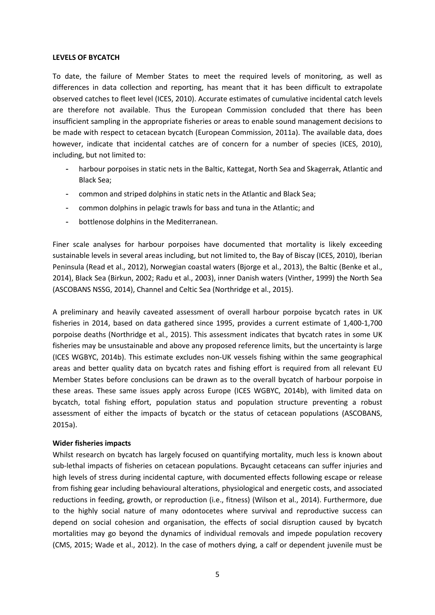### **LEVELS OF BYCATCH**

To date, the failure of Member States to meet the required levels of monitoring, as well as differences in data collection and reporting, has meant that it has been difficult to extrapolate observed catches to fleet level (ICES, 2010). Accurate estimates of cumulative incidental catch levels are therefore not available. Thus the European Commission concluded that there has been insufficient sampling in the appropriate fisheries or areas to enable sound management decisions to be made with respect to cetacean bycatch (European Commission, 2011a). The available data, does however, indicate that incidental catches are of concern for a number of species (ICES, 2010), including, but not limited to:

- harbour porpoises in static nets in the Baltic, Kattegat, North Sea and Skagerrak, Atlantic and Black Sea;
- common and striped dolphins in static nets in the Atlantic and Black Sea;
- common dolphins in pelagic trawls for bass and tuna in the Atlantic; and
- bottlenose dolphins in the Mediterranean.

Finer scale analyses for harbour porpoises have documented that mortality is likely exceeding sustainable levels in several areas including, but not limited to, the Bay of Biscay (ICES, 2010), Iberian Peninsula (Read et al., 2012), Norwegian coastal waters (Bjorge et al., 2013), the Baltic (Benke et al., 2014), Black Sea (Birkun, 2002; Radu et al., 2003), inner Danish waters (Vinther, 1999) the North Sea (ASCOBANS NSSG, 2014), Channel and Celtic Sea (Northridge et al., 2015).

A preliminary and heavily caveated assessment of overall harbour porpoise bycatch rates in UK fisheries in 2014, based on data gathered since 1995, provides a current estimate of 1,400-1,700 porpoise deaths (Northridge et al., 2015). This assessment indicates that bycatch rates in some UK fisheries may be unsustainable and above any proposed reference limits, but the uncertainty is large (ICES WGBYC, 2014b). This estimate excludes non-UK vessels fishing within the same geographical areas and better quality data on bycatch rates and fishing effort is required from all relevant EU Member States before conclusions can be drawn as to the overall bycatch of harbour porpoise in these areas. These same issues apply across Europe (ICES WGBYC, 2014b), with limited data on bycatch, total fishing effort, population status and population structure preventing a robust assessment of either the impacts of bycatch or the status of cetacean populations (ASCOBANS, 2015a).

### **Wider fisheries impacts**

Whilst research on bycatch has largely focused on quantifying mortality, much less is known about sub-lethal impacts of fisheries on cetacean populations. Bycaught cetaceans can suffer injuries and high levels of stress during incidental capture, with documented effects following escape or release from fishing gear including behavioural alterations, physiological and energetic costs, and associated reductions in feeding, growth, or reproduction (i.e., fitness) (Wilson et al., 2014). Furthermore, due to the highly social nature of many odontocetes where survival and reproductive success can depend on social cohesion and organisation, the effects of social disruption caused by bycatch mortalities may go beyond the dynamics of individual removals and impede population recovery (CMS, 2015; Wade et al., 2012). In the case of mothers dying, a calf or dependent juvenile must be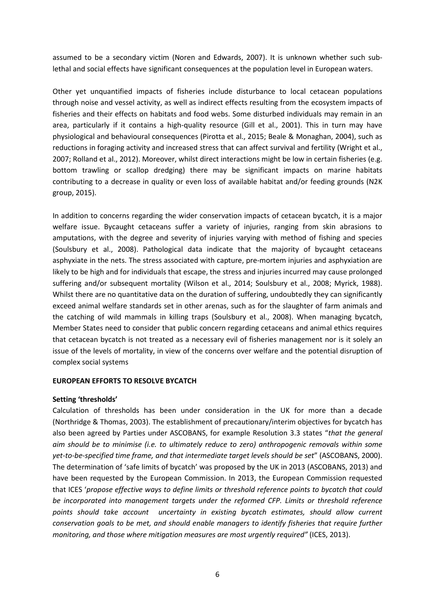assumed to be a secondary victim (Noren and Edwards, 2007). It is unknown whether such sublethal and social effects have significant consequences at the population level in European waters.

Other yet unquantified impacts of fisheries include disturbance to local cetacean populations through noise and vessel activity, as well as indirect effects resulting from the ecosystem impacts of fisheries and their effects on habitats and food webs. Some disturbed individuals may remain in an area, particularly if it contains a high-quality resource (Gill et al., 2001). This in turn may have physiological and behavioural consequences (Pirotta et al., 2015; Beale & Monaghan, 2004), such as reductions in foraging activity and increased stress that can affect survival and fertility (Wright et al., 2007; Rolland et al., 2012). Moreover, whilst direct interactions might be low in certain fisheries (e.g. bottom trawling or scallop dredging) there may be significant impacts on marine habitats contributing to a decrease in quality or even loss of available habitat and/or feeding grounds (N2K group, 2015).

In addition to concerns regarding the wider conservation impacts of cetacean bycatch, it is a major welfare issue. Bycaught cetaceans suffer a variety of injuries, ranging from skin abrasions to amputations, with the degree and severity of injuries varying with method of fishing and species (Soulsbury et al., 2008). Pathological data indicate that the majority of bycaught cetaceans asphyxiate in the nets. The stress associated with capture, pre-mortem injuries and asphyxiation are likely to be high and for individuals that escape, the stress and injuries incurred may cause prolonged suffering and/or subsequent mortality (Wilson et al., 2014; Soulsbury et al., 2008; Myrick, 1988). Whilst there are no quantitative data on the duration of suffering, undoubtedly they can significantly exceed animal welfare standards set in other arenas, such as for the slaughter of farm animals and the catching of wild mammals in killing traps (Soulsbury et al., 2008). When managing bycatch, Member States need to consider that public concern regarding cetaceans and animal ethics requires that cetacean bycatch is not treated as a necessary evil of fisheries management nor is it solely an issue of the levels of mortality, in view of the concerns over welfare and the potential disruption of complex social systems

### **EUROPEAN EFFORTS TO RESOLVE BYCATCH**

### **Setting 'thresholds'**

Calculation of thresholds has been under consideration in the UK for more than a decade (Northridge & Thomas, 2003). The establishment of precautionary/interim objectives for bycatch has also been agreed by Parties under ASCOBANS, for example Resolution 3.3 states "*that the general aim should be to minimise (i.e. to ultimately reduce to zero) anthropogenic removals within some yet-to-be-specified time frame, and that intermediate target levels should be set*" (ASCOBANS, 2000). The determination of 'safe limits of bycatch' was proposed by the UK in 2013 (ASCOBANS, 2013) and have been requested by the European Commission. In 2013, the European Commission requested that ICES '*propose effective ways to define limits or threshold reference points to bycatch that could be incorporated into management targets under the reformed CFP. Limits or threshold reference points should take account uncertainty in existing bycatch estimates, should allow current conservation goals to be met, and should enable managers to identify fisheries that require further monitoring, and those where mitigation measures are most urgently required"* (ICES, 2013).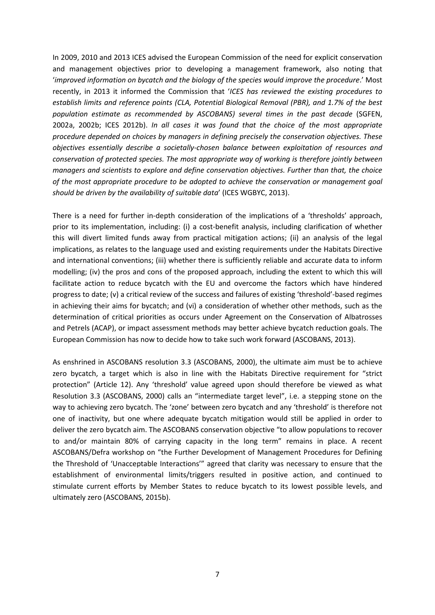In 2009, 2010 and 2013 ICES advised the European Commission of the need for explicit conservation and management objectives prior to developing a management framework, also noting that '*improved information on bycatch and the biology of the species would improve the procedure*.' Most recently, in 2013 it informed the Commission that '*ICES has reviewed the existing procedures to establish limits and reference points (CLA, Potential Biological Removal (PBR), and 1.7% of the best population estimate as recommended by ASCOBANS) several times in the past decade* (SGFEN, 2002a, 2002b; ICES 2012b). *In all cases it was found that the choice of the most appropriate procedure depended on choices by managers in defining precisely the conservation objectives. These objectives essentially describe a societally-chosen balance between exploitation of resources and conservation of protected species. The most appropriate way of working is therefore jointly between managers and scientists to explore and define conservation objectives. Further than that, the choice of the most appropriate procedure to be adopted to achieve the conservation or management goal should be driven by the availability of suitable data*' (ICES WGBYC, 2013).

There is a need for further in-depth consideration of the implications of a 'thresholds' approach, prior to its implementation, including: (i) a cost-benefit analysis, including clarification of whether this will divert limited funds away from practical mitigation actions; (ii) an analysis of the legal implications, as relates to the language used and existing requirements under the Habitats Directive and international conventions; (iii) whether there is sufficiently reliable and accurate data to inform modelling; (iv) the pros and cons of the proposed approach, including the extent to which this will facilitate action to reduce bycatch with the EU and overcome the factors which have hindered progress to date; (v) a critical review of the success and failures of existing 'threshold'-based regimes in achieving their aims for bycatch; and (vi) a consideration of whether other methods, such as the determination of critical priorities as occurs under Agreement on the Conservation of Albatrosses and Petrels (ACAP), or impact assessment methods may better achieve bycatch reduction goals. The European Commission has now to decide how to take such work forward (ASCOBANS, 2013).

As enshrined in ASCOBANS resolution 3.3 (ASCOBANS, 2000), the ultimate aim must be to achieve zero bycatch, a target which is also in line with the Habitats Directive requirement for "strict protection" (Article 12). Any 'threshold' value agreed upon should therefore be viewed as what Resolution 3.3 (ASCOBANS, 2000) calls an "intermediate target level", i.e. a stepping stone on the way to achieving zero bycatch. The 'zone' between zero bycatch and any 'threshold' is therefore not one of inactivity, but one where adequate bycatch mitigation would still be applied in order to deliver the zero bycatch aim. The ASCOBANS conservation objective "to allow populations to recover to and/or maintain 80% of carrying capacity in the long term" remains in place. A recent ASCOBANS/Defra workshop on "the Further Development of Management Procedures for Defining the Threshold of 'Unacceptable Interactions'" agreed that clarity was necessary to ensure that the establishment of environmental limits/triggers resulted in positive action, and continued to stimulate current efforts by Member States to reduce bycatch to its lowest possible levels, and ultimately zero (ASCOBANS, 2015b).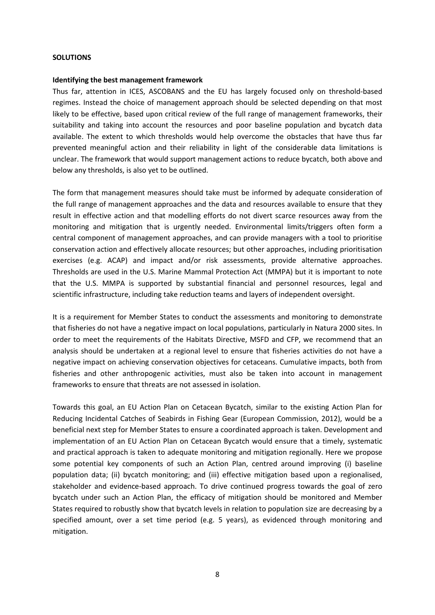### **SOLUTIONS**

#### **Identifying the best management framework**

Thus far, attention in ICES, ASCOBANS and the EU has largely focused only on threshold-based regimes. Instead the choice of management approach should be selected depending on that most likely to be effective, based upon critical review of the full range of management frameworks, their suitability and taking into account the resources and poor baseline population and bycatch data available. The extent to which thresholds would help overcome the obstacles that have thus far prevented meaningful action and their reliability in light of the considerable data limitations is unclear. The framework that would support management actions to reduce bycatch, both above and below any thresholds, is also yet to be outlined.

The form that management measures should take must be informed by adequate consideration of the full range of management approaches and the data and resources available to ensure that they result in effective action and that modelling efforts do not divert scarce resources away from the monitoring and mitigation that is urgently needed. Environmental limits/triggers often form a central component of management approaches, and can provide managers with a tool to prioritise conservation action and effectively allocate resources; but other approaches, including prioritisation exercises (e.g. ACAP) and impact and/or risk assessments, provide alternative approaches. Thresholds are used in the U.S. Marine Mammal Protection Act (MMPA) but it is important to note that the U.S. MMPA is supported by substantial financial and personnel resources, legal and scientific infrastructure, including take reduction teams and layers of independent oversight.

It is a requirement for Member States to conduct the assessments and monitoring to demonstrate that fisheries do not have a negative impact on local populations, particularly in Natura 2000 sites. In order to meet the requirements of the Habitats Directive, MSFD and CFP, we recommend that an analysis should be undertaken at a regional level to ensure that fisheries activities do not have a negative impact on achieving conservation objectives for cetaceans. Cumulative impacts, both from fisheries and other anthropogenic activities, must also be taken into account in management frameworks to ensure that threats are not assessed in isolation.

Towards this goal, an EU Action Plan on Cetacean Bycatch, similar to the existing Action Plan for Reducing Incidental Catches of Seabirds in Fishing Gear (European Commission, 2012), would be a beneficial next step for Member States to ensure a coordinated approach is taken. Development and implementation of an EU Action Plan on Cetacean Bycatch would ensure that a timely, systematic and practical approach is taken to adequate monitoring and mitigation regionally. Here we propose some potential key components of such an Action Plan, centred around improving (i) baseline population data; (ii) bycatch monitoring; and (iii) effective mitigation based upon a regionalised, stakeholder and evidence-based approach. To drive continued progress towards the goal of zero bycatch under such an Action Plan, the efficacy of mitigation should be monitored and Member States required to robustly show that bycatch levels in relation to population size are decreasing by a specified amount, over a set time period (e.g. 5 years), as evidenced through monitoring and mitigation.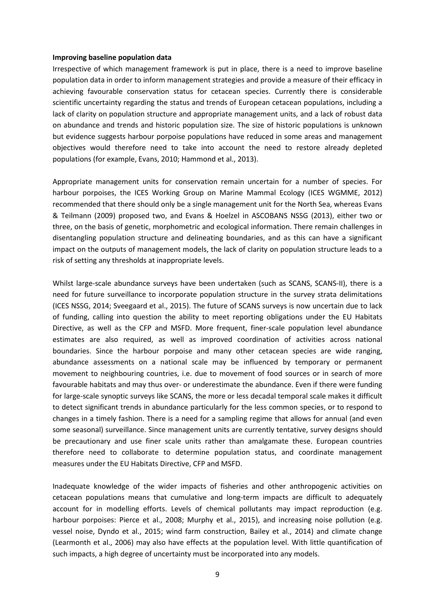#### **Improving baseline population data**

Irrespective of which management framework is put in place, there is a need to improve baseline population data in order to inform management strategies and provide a measure of their efficacy in achieving favourable conservation status for cetacean species. Currently there is considerable scientific uncertainty regarding the status and trends of European cetacean populations, including a lack of clarity on population structure and appropriate management units, and a lack of robust data on abundance and trends and historic population size. The size of historic populations is unknown but evidence suggests harbour porpoise populations have reduced in some areas and management objectives would therefore need to take into account the need to restore already depleted populations (for example, Evans, 2010; Hammond et al., 2013).

Appropriate management units for conservation remain uncertain for a number of species. For harbour porpoises, the ICES Working Group on Marine Mammal Ecology (ICES WGMME, 2012) recommended that there should only be a single management unit for the North Sea, whereas Evans & Teilmann (2009) proposed two, and Evans & Hoelzel in ASCOBANS NSSG (2013), either two or three, on the basis of genetic, morphometric and ecological information. There remain challenges in disentangling population structure and delineating boundaries, and as this can have a significant impact on the outputs of management models, the lack of clarity on population structure leads to a risk of setting any thresholds at inappropriate levels.

Whilst large-scale abundance surveys have been undertaken (such as SCANS, SCANS-II), there is a need for future surveillance to incorporate population structure in the survey strata delimitations (ICES NSSG, 2014; Sveegaard et al., 2015). The future of SCANS surveys is now uncertain due to lack of funding, calling into question the ability to meet reporting obligations under the EU Habitats Directive, as well as the CFP and MSFD. More frequent, finer-scale population level abundance estimates are also required, as well as improved coordination of activities across national boundaries. Since the harbour porpoise and many other cetacean species are wide ranging, abundance assessments on a national scale may be influenced by temporary or permanent movement to neighbouring countries, i.e. due to movement of food sources or in search of more favourable habitats and may thus over- or underestimate the abundance. Even if there were funding for large-scale synoptic surveys like SCANS, the more or less decadal temporal scale makes it difficult to detect significant trends in abundance particularly for the less common species, or to respond to changes in a timely fashion. There is a need for a sampling regime that allows for annual (and even some seasonal) surveillance. Since management units are currently tentative, survey designs should be precautionary and use finer scale units rather than amalgamate these. European countries therefore need to collaborate to determine population status, and coordinate management measures under the EU Habitats Directive, CFP and MSFD.

Inadequate knowledge of the wider impacts of fisheries and other anthropogenic activities on cetacean populations means that cumulative and long-term impacts are difficult to adequately account for in modelling efforts. Levels of chemical pollutants may impact reproduction (e.g. harbour porpoises: Pierce et al., 2008; Murphy et al., 2015), and increasing noise pollution (e.g. vessel noise, Dyndo et al., 2015; wind farm construction, Bailey et al., 2014) and climate change (Learmonth et al., 2006) may also have effects at the population level. With little quantification of such impacts, a high degree of uncertainty must be incorporated into any models.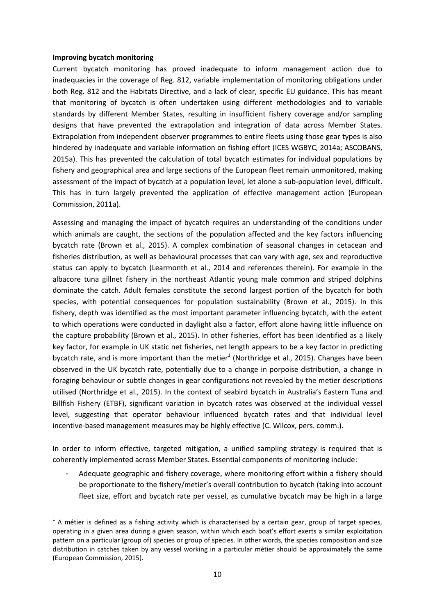### **Improving bycatch monitoring**

<u>.</u>

Current bycatch monitoring has proved inadequate to inform management action due to inadequacies in the coverage of Reg. 812, variable implementation of monitoring obligations under both Reg. 812 and the Habitats Directive, and a lack of clear, specific EU guidance. This has meant that monitoring of bycatch is often undertaken using different methodologies and to variable standards by different Member States, resulting in insufficient fishery coverage and/or sampling designs that have prevented the extrapolation and integration of data across Member States. Extrapolation from independent observer programmes to entire fleets using those gear types is also hindered by inadequate and variable information on fishing effort (ICES WGBYC, 2014a; ASCOBANS, 2015a). This has prevented the calculation of total bycatch estimates for individual populations by fishery and geographical area and large sections of the European fleet remain unmonitored, making assessment of the impact of bycatch at a population level, let alone a sub-population level, difficult. This has in turn largely prevented the application of effective management action (European Commission, 2011a).

Assessing and managing the impact of bycatch requires an understanding of the conditions under which animals are caught, the sections of the population affected and the key factors influencing bycatch rate (Brown et al., 2015). A complex combination of seasonal changes in cetacean and fisheries distribution, as well as behavioural processes that can vary with age, sex and reproductive status can apply to bycatch (Learmonth et al., 2014 and references therein). For example in the albacore tuna gillnet fishery in the northeast Atlantic young male common and striped dolphins dominate the catch. Adult females constitute the second largest portion of the bycatch for both species, with potential consequences for population sustainability (Brown et al., 2015). In this fishery, depth was identified as the most important parameter influencing bycatch, with the extent to which operations were conducted in daylight also a factor, effort alone having little influence on the capture probability (Brown et al., 2015). In other fisheries, effort has been identified as a likely key factor, for example in UK static net fisheries, net length appears to be a key factor in predicting bycatch rate, and is more important than the metier<sup>1</sup> (Northridge et al., 2015). Changes have been observed in the UK bycatch rate, potentially due to a change in porpoise distribution, a change in foraging behaviour or subtle changes in gear configurations not revealed by the metier descriptions utilised (Northridge et al., 2015). In the context of seabird bycatch in Australia's Eastern Tuna and Billfish Fishery (ETBF), significant variation in bycatch rates was observed at the individual vessel level, suggesting that operator behaviour influenced bycatch rates and that individual level incentive-based management measures may be highly effective (C. Wilcox, pers. comm.).

In order to inform effective, targeted mitigation, a unified sampling strategy is required that is coherently implemented across Member States. Essential components of monitoring include:

- Adequate geographic and fishery coverage, where monitoring effort within a fishery should be proportionate to the fishery/metier's overall contribution to bycatch (taking into account fleet size, effort and bycatch rate per vessel, as cumulative bycatch may be high in a large

 $1$  A métier is defined as a fishing activity which is characterised by a certain gear, group of target species, operating in a given area during a given season, within which each boat's effort exerts a similar exploitation pattern on a particular (group of) species or group of species. In other words, the species composition and size distribution in catches taken by any vessel working in a particular métier should be approximately the same (European Commission, 2015).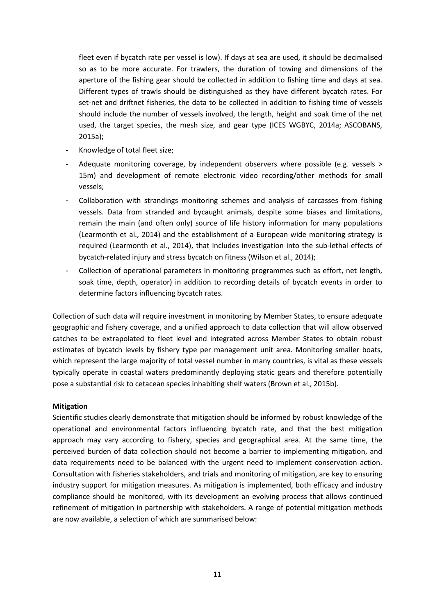fleet even if bycatch rate per vessel is low). If days at sea are used, it should be decimalised so as to be more accurate. For trawlers, the duration of towing and dimensions of the aperture of the fishing gear should be collected in addition to fishing time and days at sea. Different types of trawls should be distinguished as they have different bycatch rates. For set-net and driftnet fisheries, the data to be collected in addition to fishing time of vessels should include the number of vessels involved, the length, height and soak time of the net used, the target species, the mesh size, and gear type (ICES WGBYC, 2014a; ASCOBANS, 2015a);

- Knowledge of total fleet size;
- Adequate monitoring coverage, by independent observers where possible (e.g. vessels > 15m) and development of remote electronic video recording/other methods for small vessels;
- Collaboration with strandings monitoring schemes and analysis of carcasses from fishing vessels. Data from stranded and bycaught animals, despite some biases and limitations, remain the main (and often only) source of life history information for many populations (Learmonth et al., 2014) and the establishment of a European wide monitoring strategy is required (Learmonth et al., 2014), that includes investigation into the sub-lethal effects of bycatch-related injury and stress bycatch on fitness (Wilson et al., 2014);
- Collection of operational parameters in monitoring programmes such as effort, net length, soak time, depth, operator) in addition to recording details of bycatch events in order to determine factors influencing bycatch rates.

Collection of such data will require investment in monitoring by Member States, to ensure adequate geographic and fishery coverage, and a unified approach to data collection that will allow observed catches to be extrapolated to fleet level and integrated across Member States to obtain robust estimates of bycatch levels by fishery type per management unit area. Monitoring smaller boats, which represent the large majority of total vessel number in many countries, is vital as these vessels typically operate in coastal waters predominantly deploying static gears and therefore potentially pose a substantial risk to cetacean species inhabiting shelf waters (Brown et al., 2015b).

### **Mitigation**

Scientific studies clearly demonstrate that mitigation should be informed by robust knowledge of the operational and environmental factors influencing bycatch rate, and that the best mitigation approach may vary according to fishery, species and geographical area. At the same time, the perceived burden of data collection should not become a barrier to implementing mitigation, and data requirements need to be balanced with the urgent need to implement conservation action. Consultation with fisheries stakeholders, and trials and monitoring of mitigation, are key to ensuring industry support for mitigation measures. As mitigation is implemented, both efficacy and industry compliance should be monitored, with its development an evolving process that allows continued refinement of mitigation in partnership with stakeholders. A range of potential mitigation methods are now available, a selection of which are summarised below: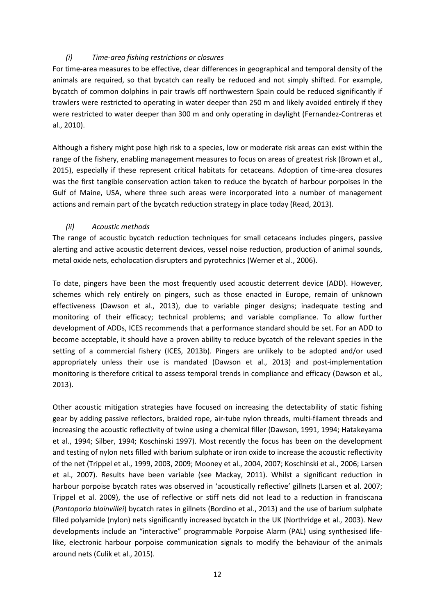## *(i) Time-area fishing restrictions or closures*

For time-area measures to be effective, clear differences in geographical and temporal density of the animals are required, so that bycatch can really be reduced and not simply shifted. For example, bycatch of common dolphins in pair trawls off northwestern Spain could be reduced significantly if trawlers were restricted to operating in water deeper than 250 m and likely avoided entirely if they were restricted to water deeper than 300 m and only operating in daylight (Fernandez-Contreras et al., 2010).

Although a fishery might pose high risk to a species, low or moderate risk areas can exist within the range of the fishery, enabling management measures to focus on areas of greatest risk (Brown et al., 2015), especially if these represent critical habitats for cetaceans. Adoption of time-area closures was the first tangible conservation action taken to reduce the bycatch of harbour porpoises in the Gulf of Maine, USA, where three such areas were incorporated into a number of management actions and remain part of the bycatch reduction strategy in place today (Read, 2013).

## *(ii) Acoustic methods*

The range of acoustic bycatch reduction techniques for small cetaceans includes pingers, passive alerting and active acoustic deterrent devices, vessel noise reduction, production of animal sounds, metal oxide nets, echolocation disrupters and pyrotechnics (Werner et al., 2006).

To date, pingers have been the most frequently used acoustic deterrent device (ADD). However, schemes which rely entirely on pingers, such as those enacted in Europe, remain of unknown effectiveness (Dawson et al., 2013), due to variable pinger designs; inadequate testing and monitoring of their efficacy; technical problems; and variable compliance. To allow further development of ADDs, ICES recommends that a performance standard should be set. For an ADD to become acceptable, it should have a proven ability to reduce bycatch of the relevant species in the setting of a commercial fishery (ICES, 2013b). Pingers are unlikely to be adopted and/or used appropriately unless their use is mandated (Dawson et al., 2013) and post-implementation monitoring is therefore critical to assess temporal trends in compliance and efficacy (Dawson et al., 2013).

Other acoustic mitigation strategies have focused on increasing the detectability of static fishing gear by adding passive reflectors, braided rope, air-tube nylon threads, multi-filament threads and increasing the acoustic reflectivity of twine using a chemical filler (Dawson, 1991, 1994; Hatakeyama et al., 1994; Silber, 1994; Koschinski 1997). Most recently the focus has been on the development and testing of nylon nets filled with barium sulphate or iron oxide to increase the acoustic reflectivity of the net (Trippel et al., 1999, 2003, 2009; Mooney et al., 2004, 2007; Koschinski et al., 2006; Larsen et al., 2007). Results have been variable (see Mackay, 2011). Whilst a significant reduction in harbour porpoise bycatch rates was observed in 'acoustically reflective' gillnets (Larsen et al. 2007; Trippel et al. 2009), the use of reflective or stiff nets did not lead to a reduction in franciscana (*Pontoporia blainvillei*) bycatch rates in gillnets (Bordino et al., 2013) and the use of barium sulphate filled polyamide (nylon) nets significantly increased bycatch in the UK (Northridge et al., 2003). New developments include an "interactive" programmable Porpoise Alarm (PAL) using synthesised lifelike, electronic harbour porpoise communication signals to modify the behaviour of the animals around nets (Culik et al., 2015).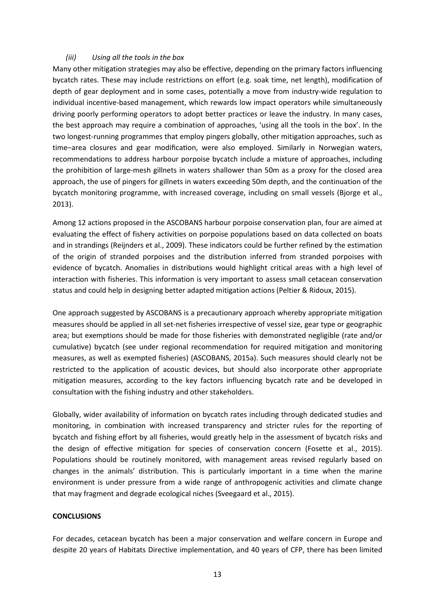## *(iii) Using all the tools in the box*

Many other mitigation strategies may also be effective, depending on the primary factors influencing bycatch rates. These may include restrictions on effort (e.g. soak time, net length), modification of depth of gear deployment and in some cases, potentially a move from industry-wide regulation to individual incentive-based management, which rewards low impact operators while simultaneously driving poorly performing operators to adopt better practices or leave the industry. In many cases, the best approach may require a combination of approaches, 'using all the tools in the box'. In the two longest-running programmes that employ pingers globally, other mitigation approaches, such as time−area closures and gear modification, were also employed. Similarly in Norwegian waters, recommendations to address harbour porpoise bycatch include a mixture of approaches, including the prohibition of large-mesh gillnets in waters shallower than 50m as a proxy for the closed area approach, the use of pingers for gillnets in waters exceeding 50m depth, and the continuation of the bycatch monitoring programme, with increased coverage, including on small vessels (Bjorge et al., 2013).

Among 12 actions proposed in the ASCOBANS harbour porpoise conservation plan, four are aimed at evaluating the effect of fishery activities on porpoise populations based on data collected on boats and in strandings (Reijnders et al., 2009). These indicators could be further refined by the estimation of the origin of stranded porpoises and the distribution inferred from stranded porpoises with evidence of bycatch. Anomalies in distributions would highlight critical areas with a high level of interaction with fisheries. This information is very important to assess small cetacean conservation status and could help in designing better adapted mitigation actions (Peltier & Ridoux, 2015).

One approach suggested by ASCOBANS is a precautionary approach whereby appropriate mitigation measures should be applied in all set-net fisheries irrespective of vessel size, gear type or geographic area; but exemptions should be made for those fisheries with demonstrated negligible (rate and/or cumulative) bycatch (see under regional recommendation for required mitigation and monitoring measures, as well as exempted fisheries) (ASCOBANS, 2015a). Such measures should clearly not be restricted to the application of acoustic devices, but should also incorporate other appropriate mitigation measures, according to the key factors influencing bycatch rate and be developed in consultation with the fishing industry and other stakeholders.

Globally, wider availability of information on bycatch rates including through dedicated studies and monitoring, in combination with increased transparency and stricter rules for the reporting of bycatch and fishing effort by all fisheries, would greatly help in the assessment of bycatch risks and the design of effective mitigation for species of conservation concern (Fosette et al., 2015). Populations should be routinely monitored, with management areas revised regularly based on changes in the animals' distribution. This is particularly important in a time when the marine environment is under pressure from a wide range of anthropogenic activities and climate change that may fragment and degrade ecological niches (Sveegaard et al., 2015).

### **CONCLUSIONS**

For decades, cetacean bycatch has been a major conservation and welfare concern in Europe and despite 20 years of Habitats Directive implementation, and 40 years of CFP, there has been limited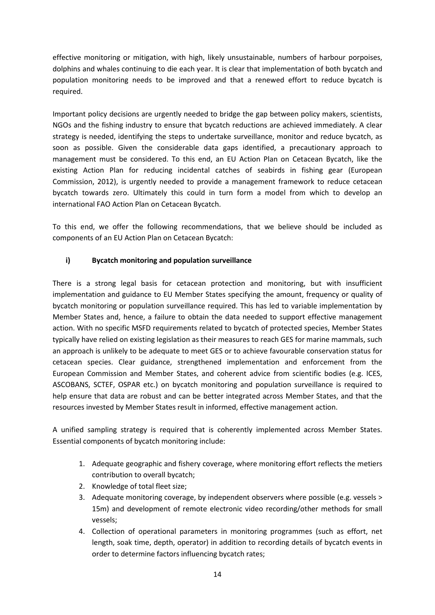effective monitoring or mitigation, with high, likely unsustainable, numbers of harbour porpoises, dolphins and whales continuing to die each year. It is clear that implementation of both bycatch and population monitoring needs to be improved and that a renewed effort to reduce bycatch is required.

Important policy decisions are urgently needed to bridge the gap between policy makers, scientists, NGOs and the fishing industry to ensure that bycatch reductions are achieved immediately. A clear strategy is needed, identifying the steps to undertake surveillance, monitor and reduce bycatch, as soon as possible. Given the considerable data gaps identified, a precautionary approach to management must be considered. To this end, an EU Action Plan on Cetacean Bycatch, like the existing Action Plan for reducing incidental catches of seabirds in fishing gear (European Commission, 2012), is urgently needed to provide a management framework to reduce cetacean bycatch towards zero. Ultimately this could in turn form a model from which to develop an international FAO Action Plan on Cetacean Bycatch.

To this end, we offer the following recommendations, that we believe should be included as components of an EU Action Plan on Cetacean Bycatch:

## **i) Bycatch monitoring and population surveillance**

There is a strong legal basis for cetacean protection and monitoring, but with insufficient implementation and guidance to EU Member States specifying the amount, frequency or quality of bycatch monitoring or population surveillance required. This has led to variable implementation by Member States and, hence, a failure to obtain the data needed to support effective management action. With no specific MSFD requirements related to bycatch of protected species, Member States typically have relied on existing legislation as their measures to reach GES for marine mammals, such an approach is unlikely to be adequate to meet GES or to achieve favourable conservation status for cetacean species. Clear guidance, strengthened implementation and enforcement from the European Commission and Member States, and coherent advice from scientific bodies (e.g. ICES, ASCOBANS, SCTEF, OSPAR etc.) on bycatch monitoring and population surveillance is required to help ensure that data are robust and can be better integrated across Member States, and that the resources invested by Member States result in informed, effective management action.

A unified sampling strategy is required that is coherently implemented across Member States. Essential components of bycatch monitoring include:

- 1. Adequate geographic and fishery coverage, where monitoring effort reflects the metiers contribution to overall bycatch;
- 2. Knowledge of total fleet size;
- 3. Adequate monitoring coverage, by independent observers where possible (e.g. vessels > 15m) and development of remote electronic video recording/other methods for small vessels;
- 4. Collection of operational parameters in monitoring programmes (such as effort, net length, soak time, depth, operator) in addition to recording details of bycatch events in order to determine factors influencing bycatch rates;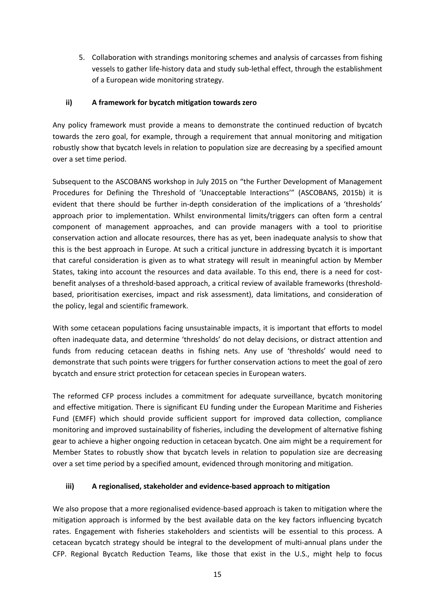5. Collaboration with strandings monitoring schemes and analysis of carcasses from fishing vessels to gather life-history data and study sub-lethal effect, through the establishment of a European wide monitoring strategy.

## **ii) A framework for bycatch mitigation towards zero**

Any policy framework must provide a means to demonstrate the continued reduction of bycatch towards the zero goal, for example, through a requirement that annual monitoring and mitigation robustly show that bycatch levels in relation to population size are decreasing by a specified amount over a set time period.

Subsequent to the ASCOBANS workshop in July 2015 on "the Further Development of Management Procedures for Defining the Threshold of 'Unacceptable Interactions'" (ASCOBANS, 2015b) it is evident that there should be further in-depth consideration of the implications of a 'thresholds' approach prior to implementation. Whilst environmental limits/triggers can often form a central component of management approaches, and can provide managers with a tool to prioritise conservation action and allocate resources, there has as yet, been inadequate analysis to show that this is the best approach in Europe. At such a critical juncture in addressing bycatch it is important that careful consideration is given as to what strategy will result in meaningful action by Member States, taking into account the resources and data available. To this end, there is a need for costbenefit analyses of a threshold-based approach, a critical review of available frameworks (thresholdbased, prioritisation exercises, impact and risk assessment), data limitations, and consideration of the policy, legal and scientific framework.

With some cetacean populations facing unsustainable impacts, it is important that efforts to model often inadequate data, and determine 'thresholds' do not delay decisions, or distract attention and funds from reducing cetacean deaths in fishing nets. Any use of 'thresholds' would need to demonstrate that such points were triggers for further conservation actions to meet the goal of zero bycatch and ensure strict protection for cetacean species in European waters.

The reformed CFP process includes a commitment for adequate surveillance, bycatch monitoring and effective mitigation. There is significant EU funding under the European Maritime and Fisheries Fund (EMFF) which should provide sufficient support for improved data collection, compliance monitoring and improved sustainability of fisheries, including the development of alternative fishing gear to achieve a higher ongoing reduction in cetacean bycatch. One aim might be a requirement for Member States to robustly show that bycatch levels in relation to population size are decreasing over a set time period by a specified amount, evidenced through monitoring and mitigation.

## **iii) A regionalised, stakeholder and evidence-based approach to mitigation**

We also propose that a more regionalised evidence-based approach is taken to mitigation where the mitigation approach is informed by the best available data on the key factors influencing bycatch rates. Engagement with fisheries stakeholders and scientists will be essential to this process. A cetacean bycatch strategy should be integral to the development of multi-annual plans under the CFP. Regional Bycatch Reduction Teams, like those that exist in the U.S., might help to focus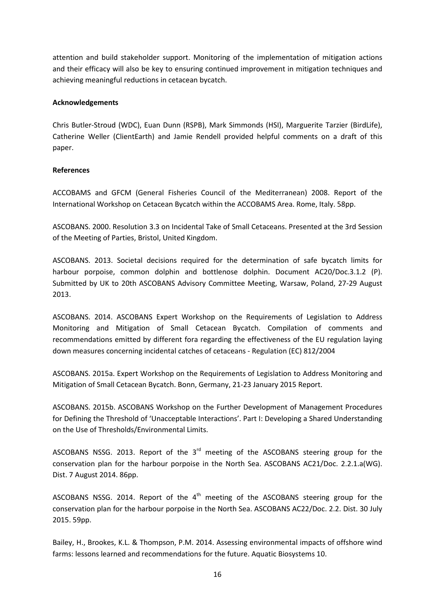attention and build stakeholder support. Monitoring of the implementation of mitigation actions and their efficacy will also be key to ensuring continued improvement in mitigation techniques and achieving meaningful reductions in cetacean bycatch.

## **Acknowledgements**

Chris Butler-Stroud (WDC), Euan Dunn (RSPB), Mark Simmonds (HSI), Marguerite Tarzier (BirdLife), Catherine Weller (ClientEarth) and Jamie Rendell provided helpful comments on a draft of this paper.

## **References**

ACCOBAMS and GFCM (General Fisheries Council of the Mediterranean) 2008. Report of the International Workshop on Cetacean Bycatch within the ACCOBAMS Area. Rome, Italy. 58pp.

ASCOBANS. 2000. Resolution 3.3 on Incidental Take of Small Cetaceans. Presented at the 3rd Session of the Meeting of Parties, Bristol, United Kingdom.

ASCOBANS. 2013. Societal decisions required for the determination of safe bycatch limits for harbour porpoise, common dolphin and bottlenose dolphin. Document AC20/Doc.3.1.2 (P). Submitted by UK to 20th ASCOBANS Advisory Committee Meeting, Warsaw, Poland, 27-29 August 2013.

ASCOBANS. 2014. ASCOBANS Expert Workshop on the Requirements of Legislation to Address Monitoring and Mitigation of Small Cetacean Bycatch. Compilation of comments and recommendations emitted by different fora regarding the effectiveness of the EU regulation laying down measures concerning incidental catches of cetaceans - Regulation (EC) 812/2004

ASCOBANS. 2015a. Expert Workshop on the Requirements of Legislation to Address Monitoring and Mitigation of Small Cetacean Bycatch. Bonn, Germany, 21-23 January 2015 Report.

ASCOBANS. 2015b. ASCOBANS Workshop on the Further Development of Management Procedures for Defining the Threshold of 'Unacceptable Interactions'. Part I: Developing a Shared Understanding on the Use of Thresholds/Environmental Limits.

ASCOBANS NSSG. 2013. Report of the  $3<sup>rd</sup>$  meeting of the ASCOBANS steering group for the conservation plan for the harbour porpoise in the North Sea. ASCOBANS AC21/Doc. 2.2.1.a(WG). Dist. 7 August 2014. 86pp.

ASCOBANS NSSG. 2014. Report of the  $4<sup>th</sup>$  meeting of the ASCOBANS steering group for the conservation plan for the harbour porpoise in the North Sea. ASCOBANS AC22/Doc. 2.2. Dist. 30 July 2015. 59pp.

Bailey, H., Brookes, K.L. & Thompson, P.M. 2014. Assessing environmental impacts of offshore wind farms: lessons learned and recommendations for the future. Aquatic Biosystems 10.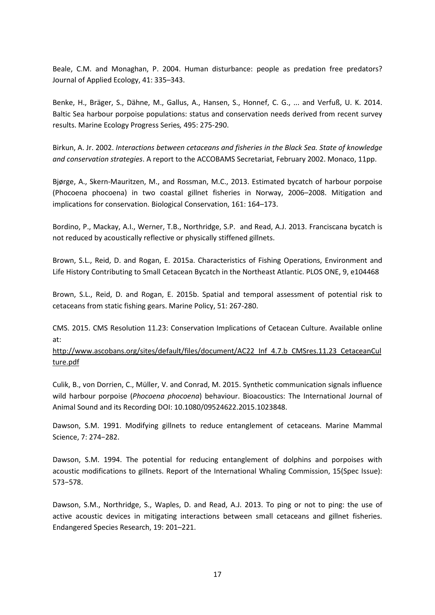Beale, C.M. and Monaghan, P. 2004. Human disturbance: people as predation free predators? Journal of Applied Ecology, 41: 335–343.

Benke, H., Bräger, S., Dähne, M., Gallus, A., Hansen, S., Honnef, C. G., ... and Verfuß, U. K. 2014. Baltic Sea harbour porpoise populations: status and conservation needs derived from recent survey results. Marine Ecology Progress Series*,* 495: 275-290.

Birkun, A. Jr. 2002. *Interactions between cetaceans and fisheries in the Black Sea. State of knowledge and conservation strategies*. A report to the ACCOBAMS Secretariat, February 2002. Monaco, 11pp.

Bjørge, A., Skern-Mauritzen, M., and Rossman, M.C., 2013. Estimated bycatch of harbour porpoise (Phocoena phocoena) in two coastal gillnet fisheries in Norway, 2006–2008. Mitigation and implications for conservation. Biological Conservation, 161: 164–173.

Bordino, P., Mackay, A.I., Werner, T.B., Northridge, S.P. and Read, A.J. 2013. Franciscana bycatch is not reduced by acoustically reflective or physically stiffened gillnets.

Brown, S.L., Reid, D. and Rogan, E. 2015a. Characteristics of Fishing Operations, Environment and Life History Contributing to Small Cetacean Bycatch in the Northeast Atlantic. PLOS ONE, 9, e104468

Brown, S.L., Reid, D. and Rogan, E. 2015b. Spatial and temporal assessment of potential risk to cetaceans from static fishing gears. Marine Policy, 51: 267-280.

CMS. 2015. CMS Resolution 11.23: Conservation Implications of Cetacean Culture. Available online at:

http://www.ascobans.org/sites/default/files/document/AC22\_Inf\_4.7.b\_CMSres.11.23\_CetaceanCul ture.pdf

Culik, B., von Dorrien, C., Müller, V. and Conrad, M. 2015. Synthetic communication signals influence wild harbour porpoise (*Phocoena phocoena*) behaviour. Bioacoustics: The International Journal of Animal Sound and its Recording DOI: 10.1080/09524622.2015.1023848.

Dawson, S.M. 1991. Modifying gillnets to reduce entanglement of cetaceans. Marine Mammal Science, 7: 274−282.

Dawson, S.M. 1994. The potential for reducing entanglement of dolphins and porpoises with acoustic modifications to gillnets. Report of the International Whaling Commission, 15(Spec Issue): 573−578.

Dawson, S.M., Northridge, S., Waples, D. and Read, A.J. 2013. To ping or not to ping: the use of active acoustic devices in mitigating interactions between small cetaceans and gillnet fisheries. Endangered Species Research, 19: 201–221.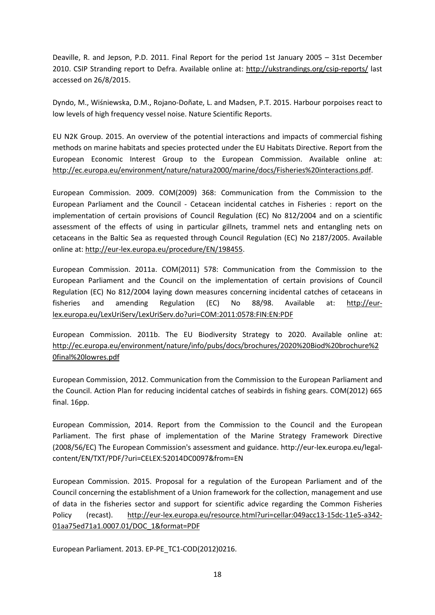Deaville, R. and Jepson, P.D. 2011. Final Report for the period 1st January 2005 – 31st December 2010. CSIP Stranding report to Defra. Available online at: http://ukstrandings.org/csip-reports/ last accessed on 26/8/2015.

Dyndo, M., Wiśniewska, D.M., Rojano-Doñate, L. and Madsen, P.T. 2015. Harbour porpoises react to low levels of high frequency vessel noise. Nature Scientific Reports.

EU N2K Group. 2015. An overview of the potential interactions and impacts of commercial fishing methods on marine habitats and species protected under the EU Habitats Directive. Report from the European Economic Interest Group to the European Commission. Available online at: http://ec.europa.eu/environment/nature/natura2000/marine/docs/Fisheries%20interactions.pdf.

European Commission. 2009. COM(2009) 368: Communication from the Commission to the European Parliament and the Council - Cetacean incidental catches in Fisheries : report on the implementation of certain provisions of Council Regulation (EC) No 812/2004 and on a scientific assessment of the effects of using in particular gillnets, trammel nets and entangling nets on cetaceans in the Baltic Sea as requested through Council Regulation (EC) No 2187/2005. Available online at: http://eur-lex.europa.eu/procedure/EN/198455.

European Commission. 2011a. COM(2011) 578: Communication from the Commission to the European Parliament and the Council on the implementation of certain provisions of Council Regulation (EC) No 812/2004 laying down measures concerning incidental catches of cetaceans in fisheries and amending Regulation (EC) No 88/98. Available at: http://eurlex.europa.eu/LexUriServ/LexUriServ.do?uri=COM:2011:0578:FIN:EN:PDF

European Commission. 2011b. The EU Biodiversity Strategy to 2020. Available online at: http://ec.europa.eu/environment/nature/info/pubs/docs/brochures/2020%20Biod%20brochure%2 0final%20lowres.pdf

European Commission, 2012. Communication from the Commission to the European Parliament and the Council. Action Plan for reducing incidental catches of seabirds in fishing gears. COM(2012) 665 final. 16pp.

European Commission, 2014. Report from the Commission to the Council and the European Parliament. The first phase of implementation of the Marine Strategy Framework Directive (2008/56/EC) The European Commission's assessment and guidance. http://eur-lex.europa.eu/legalcontent/EN/TXT/PDF/?uri=CELEX:52014DC0097&from=EN

European Commission. 2015. Proposal for a regulation of the European Parliament and of the Council concerning the establishment of a Union framework for the collection, management and use of data in the fisheries sector and support for scientific advice regarding the Common Fisheries Policy (recast). http://eur-lex.europa.eu/resource.html?uri=cellar:049acc13-15dc-11e5-a342- 01aa75ed71a1.0007.01/DOC\_1&format=PDF

European Parliament. 2013. EP-PE\_TC1-COD(2012)0216.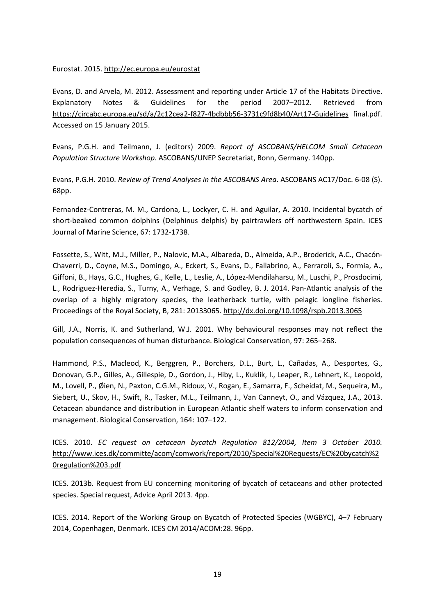## Eurostat. 2015. http://ec.europa.eu/eurostat

Evans, D. and Arvela, M. 2012. Assessment and reporting under Article 17 of the Habitats Directive. Explanatory Notes & Guidelines for the period 2007–2012. Retrieved from https://circabc.europa.eu/sd/a/2c12cea2-f827-4bdbbb56-3731c9fd8b40/Art17-Guidelines final.pdf. Accessed on 15 January 2015.

Evans, P.G.H. and Teilmann, J. (editors) 2009. *Report of ASCOBANS/HELCOM Small Cetacean Population Structure Workshop*. ASCOBANS/UNEP Secretariat, Bonn, Germany. 140pp.

Evans, P.G.H. 2010. *Review of Trend Analyses in the ASCOBANS Area*. ASCOBANS AC17/Doc. 6-08 (S). 68pp.

Fernandez-Contreras, M. M., Cardona, L., Lockyer, C. H. and Aguilar, A. 2010. Incidental bycatch of short-beaked common dolphins (Delphinus delphis) by pairtrawlers off northwestern Spain. ICES Journal of Marine Science, 67: 1732-1738.

Fossette, S., Witt, M.J., Miller, P., Nalovic, M.A., Albareda, D., Almeida, A.P., Broderick, A.C., Chacón-Chaverri, D., Coyne, M.S., Domingo, A., Eckert, S., Evans, D., Fallabrino, A., Ferraroli, S., Formia, A., Giffoni, B., Hays, G.C., Hughes, G., Kelle, L., Leslie, A., López-Mendilaharsu, M., Luschi, P., Prosdocimi, L., Rodriguez-Heredia, S., Turny, A., Verhage, S. and Godley, B. J. 2014. Pan-Atlantic analysis of the overlap of a highly migratory species, the leatherback turtle, with pelagic longline fisheries. Proceedings of the Royal Society, B, 281: 20133065. http://dx.doi.org/10.1098/rspb.2013.3065

Gill, J.A., Norris, K. and Sutherland, W.J. 2001. Why behavioural responses may not reflect the population consequences of human disturbance. Biological Conservation, 97: 265–268.

Hammond, P.S., Macleod, K., Berggren, P., Borchers, D.L., Burt, L., Cañadas, A., Desportes, G., Donovan, G.P., Gilles, A., Gillespie, D., Gordon, J., Hiby, L., Kuklik, I., Leaper, R., Lehnert, K., Leopold, M., Lovell, P., Øien, N., Paxton, C.G.M., Ridoux, V., Rogan, E., Samarra, F., Scheidat, M., Sequeira, M., Siebert, U., Skov, H., Swift, R., Tasker, M.L., Teilmann, J., Van Canneyt, O., and Vázquez, J.A., 2013. Cetacean abundance and distribution in European Atlantic shelf waters to inform conservation and management. Biological Conservation, 164: 107–122.

ICES. 2010. *EC request on cetacean bycatch Regulation 812/2004, Item 3 October 2010.*  http://www.ices.dk/committe/acom/comwork/report/2010/Special%20Requests/EC%20bycatch%2 0regulation%203.pdf

ICES. 2013b. Request from EU concerning monitoring of bycatch of cetaceans and other protected species. Special request, Advice April 2013. 4pp.

ICES. 2014. Report of the Working Group on Bycatch of Protected Species (WGBYC), 4–7 February 2014, Copenhagen, Denmark. ICES CM 2014/ACOM:28. 96pp.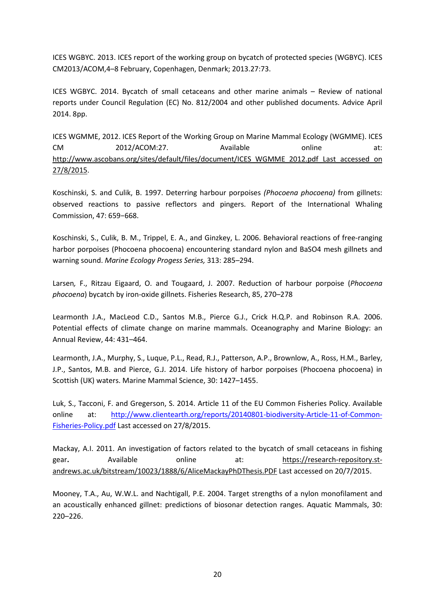ICES WGBYC. 2013. ICES report of the working group on bycatch of protected species (WGBYC). ICES CM2013/ACOM,4–8 February, Copenhagen, Denmark; 2013.27:73.

ICES WGBYC. 2014. Bycatch of small cetaceans and other marine animals – Review of national reports under Council Regulation (EC) No. 812/2004 and other published documents. Advice April 2014. 8pp.

ICES WGMME, 2012. ICES Report of the Working Group on Marine Mammal Ecology (WGMME). ICES CM 2012/ACOM:27. Available online at: http://www.ascobans.org/sites/default/files/document/ICES\_WGMME\_2012.pdf Last accessed on 27/8/2015.

Koschinski, S. and Culik, B. 1997. Deterring harbour porpoises *(Phocoena phocoena)* from gillnets: observed reactions to passive reflectors and pingers. Report of the International Whaling Commission, 47: 659−668.

Koschinski, S., Culik, B. M., Trippel, E. A., and Ginzkey, L. 2006. Behavioral reactions of free-ranging harbor porpoises (Phocoena phocoena) encountering standard nylon and BaSO4 mesh gillnets and warning sound. *Marine Ecology Progess Series,* 313: 285–294.

Larsen*,* F., Ritzau Eigaard, O. and Tougaard, J. 2007. Reduction of harbour porpoise (*Phocoena phocoena*) bycatch by iron-oxide gillnets. Fisheries Research, 85, 270–278

Learmonth J.A., MacLeod C.D., Santos M.B., Pierce G.J., Crick H.Q.P. and Robinson R.A. 2006. Potential effects of climate change on marine mammals. Oceanography and Marine Biology: an Annual Review, 44: 431–464.

Learmonth, J.A., Murphy, S., Luque, P.L., Read, R.J., Patterson, A.P., Brownlow, A., Ross, H.M., Barley, J.P., Santos, M.B. and Pierce, G.J. 2014. Life history of harbor porpoises (Phocoena phocoena) in Scottish (UK) waters. Marine Mammal Science, 30: 1427–1455.

Luk, S., Tacconi, F. and Gregerson, S. 2014. Article 11 of the EU Common Fisheries Policy. Available online at: http://www.clientearth.org/reports/20140801-biodiversity-Article-11-of-Common-Fisheries-Policy.pdf Last accessed on 27/8/2015.

Mackay, A.I. 2011. An investigation of factors related to the bycatch of small cetaceans in fishing gear**.** Available online at: https://research-repository.standrews.ac.uk/bitstream/10023/1888/6/AliceMackayPhDThesis.PDF Last accessed on 20/7/2015.

Mooney, T.A., Au, W.W.L. and Nachtigall, P.E. 2004. Target strengths of a nylon monofilament and an acoustically enhanced gillnet: predictions of biosonar detection ranges. Aquatic Mammals, 30: 220–226.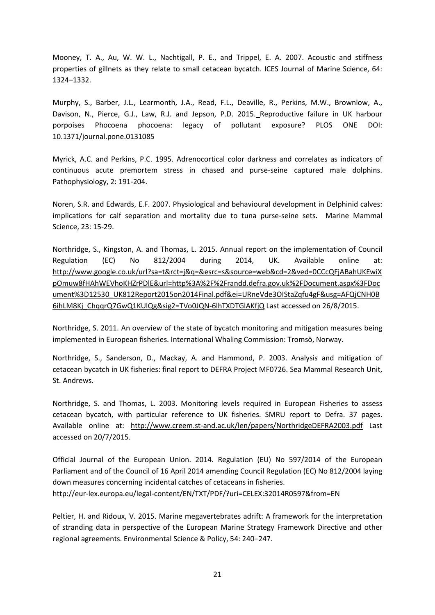Mooney, T. A., Au, W. W. L., Nachtigall, P. E., and Trippel, E. A. 2007. Acoustic and stiffness properties of gillnets as they relate to small cetacean bycatch. ICES Journal of Marine Science, 64: 1324–1332.

Murphy, S., Barber, J.L., Learmonth, J.A., Read, F.L., Deaville, R., Perkins, M.W., Brownlow, A., Davison, N., Pierce, G.J., Law, R.J. and Jepson, P.D. 2015. Reproductive failure in UK harbour porpoises Phocoena phocoena: legacy of pollutant exposure? PLOS ONE DOI: 10.1371/journal.pone.0131085

Myrick, A.C. and Perkins, P.C. 1995. Adrenocortical color darkness and correlates as indicators of continuous acute premortem stress in chased and purse-seine captured male dolphins. Pathophysiology, 2: 191-204.

Noren, S.R. and Edwards, E.F. 2007. Physiological and behavioural development in Delphinid calves: implications for calf separation and mortality due to tuna purse-seine sets. Marine Mammal Science, 23: 15-29.

Northridge, S., Kingston, A. and Thomas, L. 2015. Annual report on the implementation of Council Regulation (EC) No 812/2004 during 2014, UK. Available online at: http://www.google.co.uk/url?sa=t&rct=j&q=&esrc=s&source=web&cd=2&ved=0CCcQFjABahUKEwiX pOmuw8fHAhWEVhoKHZrPDlE&url=http%3A%2F%2Frandd.defra.gov.uk%2FDocument.aspx%3FDoc ument%3D12530\_UK812Report2015on2014Final.pdf&ei=URneVde3OIStaZqfu4gF&usg=AFQjCNH0B 6ihLM8Kj\_ChqqrQ7GwQ1KUlQg&sig2=TVo0JQN-6lhTXDTGlAKfjQ Last accessed on 26/8/2015.

Northridge, S. 2011. An overview of the state of bycatch monitoring and mitigation measures being implemented in European fisheries. International Whaling Commission: Tromsö, Norway.

Northridge, S., Sanderson, D., Mackay, A. and Hammond, P. 2003. Analysis and mitigation of cetacean bycatch in UK fisheries: final report to DEFRA Project MF0726. Sea Mammal Research Unit, St. Andrews.

Northridge, S. and Thomas, L. 2003. Monitoring levels required in European Fisheries to assess cetacean bycatch, with particular reference to UK fisheries. SMRU report to Defra. 37 pages. Available online at: http://www.creem.st-and.ac.uk/len/papers/NorthridgeDEFRA2003.pdf Last accessed on 20/7/2015.

Official Journal of the European Union. 2014. Regulation (EU) No 597/2014 of the European Parliament and of the Council of 16 April 2014 amending Council Regulation (EC) No 812/2004 laying down measures concerning incidental catches of cetaceans in fisheries. http://eur-lex.europa.eu/legal-content/EN/TXT/PDF/?uri=CELEX:32014R0597&from=EN

Peltier, H. and Ridoux, V. 2015. Marine megavertebrates adrift: A framework for the interpretation of stranding data in perspective of the European Marine Strategy Framework Directive and other regional agreements. Environmental Science & Policy, 54: 240–247.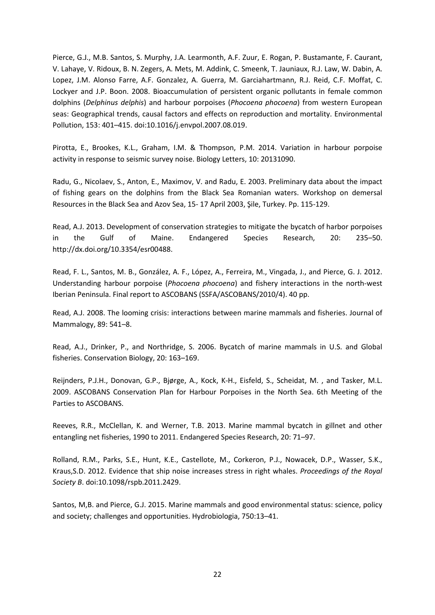Pierce, G.J., M.B. Santos, S. Murphy, J.A. Learmonth, A.F. Zuur, E. Rogan, P. Bustamante, F. Caurant, V. Lahaye, V. Ridoux, B. N. Zegers, A. Mets, M. Addink, C. Smeenk, T. Jauniaux, R.J. Law, W. Dabin, A. Lopez, J.M. Alonso Farre, A.F. Gonzalez, A. Guerra, M. Garciahartmann, R.J. Reid, C.F. Moffat, C. Lockyer and J.P. Boon. 2008. Bioaccumulation of persistent organic pollutants in female common dolphins (*Delphinus delphis*) and harbour porpoises (*Phocoena phocoena*) from western European seas: Geographical trends, causal factors and effects on reproduction and mortality. Environmental Pollution, 153: 401–415. doi:10.1016/j.envpol.2007.08.019.

Pirotta, E., Brookes, K.L., Graham, I.M. & Thompson, P.M. 2014. Variation in harbour porpoise activity in response to seismic survey noise. Biology Letters, 10: 20131090.

Radu, G., Nicolaev, S., Anton, E., Maximov, V. and Radu, E. 2003. Preliminary data about the impact of fishing gears on the dolphins from the Black Sea Romanian waters. Workshop on demersal Resources in the Black Sea and Azov Sea, 15- 17 April 2003, Şile, Turkey. Pp. 115-129.

Read, A.J. 2013. Development of conservation strategies to mitigate the bycatch of harbor porpoises in the Gulf of Maine. Endangered Species Research, 20: 235–50. http://dx.doi.org/10.3354/esr00488.

Read, F. L., Santos, M. B., González, A. F., López, A., Ferreira, M., Vingada, J., and Pierce, G. J. 2012. Understanding harbour porpoise (*Phocoena phocoena*) and fishery interactions in the north-west Iberian Peninsula. Final report to ASCOBANS (SSFA/ASCOBANS/2010/4). 40 pp.

Read, A.J. 2008. The looming crisis: interactions between marine mammals and fisheries. Journal of Mammalogy, 89: 541–8.

Read, A.J., Drinker, P., and Northridge, S. 2006. Bycatch of marine mammals in U.S. and Global fisheries. Conservation Biology, 20: 163–169.

Reijnders, P.J.H., Donovan, G.P., Bjørge, A., Kock, K-H., Eisfeld, S., Scheidat, M. , and Tasker, M.L. 2009. ASCOBANS Conservation Plan for Harbour Porpoises in the North Sea. 6th Meeting of the Parties to ASCOBANS.

Reeves, R.R., McClellan, K. and Werner, T.B. 2013. Marine mammal bycatch in gillnet and other entangling net fisheries, 1990 to 2011. Endangered Species Research, 20: 71–97.

Rolland, R.M., Parks, S.E., Hunt, K.E., Castellote, M., Corkeron, P.J., Nowacek, D.P., Wasser, S.K., Kraus,S.D. 2012. Evidence that ship noise increases stress in right whales. *Proceedings of the Royal Society B*. doi:10.1098/rspb.2011.2429.

Santos, M,B. and Pierce, G.J. 2015. Marine mammals and good environmental status: science, policy and society; challenges and opportunities. Hydrobiologia, 750:13–41.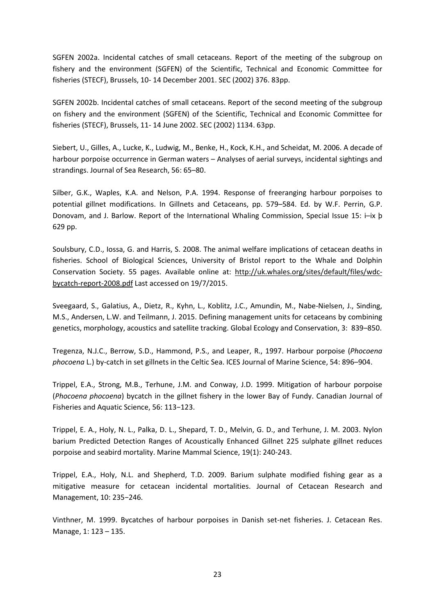SGFEN 2002a. Incidental catches of small cetaceans. Report of the meeting of the subgroup on fishery and the environment (SGFEN) of the Scientific, Technical and Economic Committee for fisheries (STECF), Brussels, 10- 14 December 2001. SEC (2002) 376. 83pp.

SGFEN 2002b. Incidental catches of small cetaceans. Report of the second meeting of the subgroup on fishery and the environment (SGFEN) of the Scientific, Technical and Economic Committee for fisheries (STECF), Brussels, 11- 14 June 2002. SEC (2002) 1134. 63pp.

Siebert, U., Gilles, A., Lucke, K., Ludwig, M., Benke, H., Kock, K.H., and Scheidat, M. 2006. A decade of harbour porpoise occurrence in German waters – Analyses of aerial surveys, incidental sightings and strandings. Journal of Sea Research, 56: 65–80.

Silber, G.K., Waples, K.A. and Nelson, P.A. 1994. Response of freeranging harbour porpoises to potential gillnet modifications. In Gillnets and Cetaceans, pp. 579–584. Ed. by W.F. Perrin, G.P. Donovam, and J. Barlow. Report of the International Whaling Commission, Special Issue 15: i–ix þ 629 pp.

Soulsbury, C.D., Iossa, G. and Harris, S. 2008. The animal welfare implications of cetacean deaths in fisheries. School of Biological Sciences, University of Bristol report to the Whale and Dolphin Conservation Society. 55 pages. Available online at: http://uk.whales.org/sites/default/files/wdcbycatch-report-2008.pdf Last accessed on 19/7/2015.

Sveegaard, S., Galatius, A., Dietz, R., Kyhn, L., Koblitz, J.C., Amundin, M., Nabe-Nielsen, J., Sinding, M.S., Andersen, L.W. and Teilmann, J. 2015. Defining management units for cetaceans by combining genetics, morphology, acoustics and satellite tracking. Global Ecology and Conservation, 3: 839–850.

Tregenza, N.J.C., Berrow, S.D., Hammond, P.S., and Leaper, R., 1997. Harbour porpoise (*Phocoena phocoena* L.) by-catch in set gillnets in the Celtic Sea. ICES Journal of Marine Science, 54: 896–904.

Trippel, E.A., Strong, M.B., Terhune, J.M. and Conway, J.D. 1999. Mitigation of harbour porpoise (*Phocoena phocoena*) bycatch in the gillnet fishery in the lower Bay of Fundy. Canadian Journal of Fisheries and Aquatic Science, 56: 113−123.

Trippel, E. A., Holy, N. L., Palka, D. L., Shepard, T. D., Melvin, G. D., and Terhune, J. M. 2003. Nylon barium Predicted Detection Ranges of Acoustically Enhanced Gillnet 225 sulphate gillnet reduces porpoise and seabird mortality. Marine Mammal Science, 19(1): 240-243.

Trippel, E.A., Holy, N.L. and Shepherd, T.D. 2009. Barium sulphate modified fishing gear as a mitigative measure for cetacean incidental mortalities. Journal of Cetacean Research and Management, 10: 235−246.

Vinthner, M. 1999. Bycatches of harbour porpoises in Danish set-net fisheries. J. Cetacean Res. Manage, 1: 123 – 135.